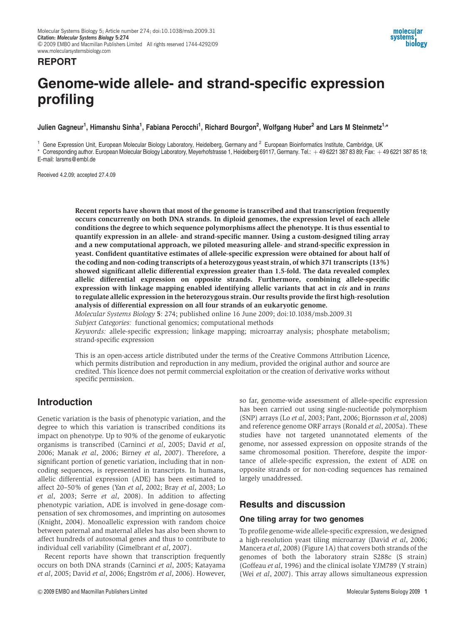# Genome-wide allele- and strand-specific expression profiling

Julien Gagneur<sup>1</sup>, Himanshu Sinha<sup>1</sup>, Fabiana Perocchi<sup>1</sup>, Richard Bourgon<sup>2</sup>, Wolfgang Huber<sup>2</sup> and Lars M Steinmetz<sup>1,</sup>\*

 $^1$  Gene Expression Unit, European Molecular Biology Laboratory, Heidelberg, Germany and  $^2$  European Bioinformatics Institute, Cambridge, UK \* Corresponding author. European Molecular Biology Laboratory, Meyerhofstrasse 1, Heidelberg 69117, Germany. Tel.: +49 6221 387 83 89; Fax: +49 6221 387 85 18; E-mail: larsms@embl.de

Received 4.2.09; accepted 27.4.09

REPORT

Recent reports have shown that most of the genome is transcribed and that transcription frequently occurs concurrently on both DNA strands. In diploid genomes, the expression level of each allele conditions the degree to which sequence polymorphisms affect the phenotype. It is thus essential to quantify expression in an allele- and strand-specific manner. Using a custom-designed tiling array and a new computational approach, we piloted measuring allele- and strand-specific expression in yeast. Confident quantitative estimates of allele-specific expression were obtained for about half of the coding and non-coding transcripts of a heterozygous yeast strain, of which 371 transcripts (13%) showed significant allelic differential expression greater than 1.5-fold. The data revealed complex allelic differential expression on opposite strands. Furthermore, combining allele-specific expression with linkage mapping enabled identifying allelic variants that act in cis and in trans to regulate allelic expression in the heterozygous strain. Our results provide the first high-resolution analysis of differential expression on all four strands of an eukaryotic genome.

Molecular Systems Biology 5: 274; published online 16 June 2009; doi:10.1038/msb.2009.31

Subject Categories: functional genomics; computational methods

Keywords: allele-specific expression; linkage mapping; microarray analysis; phosphate metabolism; strand-specific expression

This is an open-access article distributed under the terms of the Creative Commons Attribution Licence, which permits distribution and reproduction in any medium, provided the original author and source are credited. This licence does not permit commercial exploitation or the creation of derivative works without specific permission.

# Introduction

Genetic variation is the basis of phenotypic variation, and the degree to which this variation is transcribed conditions its impact on phenotype. Up to 90% of the genome of eukaryotic organisms is transcribed (Carninci et al, 2005; David et al, 2006; Manak et al, 2006; Birney et al, 2007). Therefore, a significant portion of genetic variation, including that in noncoding sequences, is represented in transcripts. In humans, allelic differential expression (ADE) has been estimated to affect 20–50% of genes (Yan et al, 2002; Bray et al, 2003; Lo et al, 2003; Serre et al, 2008). In addition to affecting phenotypic variation, ADE is involved in gene-dosage compensation of sex chromosomes, and imprinting on autosomes (Knight, 2004). Monoallelic expression with random choice between paternal and maternal alleles has also been shown to affect hundreds of autosomal genes and thus to contribute to individual cell variability (Gimelbrant et al, 2007).

Recent reports have shown that transcription frequently occurs on both DNA strands (Carninci et al, 2005; Katayama et al, 2005; David et al, 2006; Engström et al, 2006). However, so far, genome-wide assessment of allele-specific expression has been carried out using single-nucleotide polymorphism (SNP) arrays (Lo et al, 2003; Pant, 2006; Bjornsson et al, 2008) and reference genome ORF arrays (Ronald et al, 2005a). These studies have not targeted unannotated elements of the genome, nor assessed expression on opposite strands of the same chromosomal position. Therefore, despite the importance of allele-specific expression, the extent of ADE on opposite strands or for non-coding sequences has remained largely unaddressed.

# Results and discussion

## One tiling array for two genomes

To profile genome-wide allele-specific expression, we designed a high-resolution yeast tiling microarray (David et al, 2006; Mancera et al, 2008) (Figure 1A) that covers both strands of the genomes of both the laboratory strain S288c (S strain) (Goffeau et al, 1996) and the clinical isolate YJM789 (Y strain) (Wei et al, 2007). This array allows simultaneous expression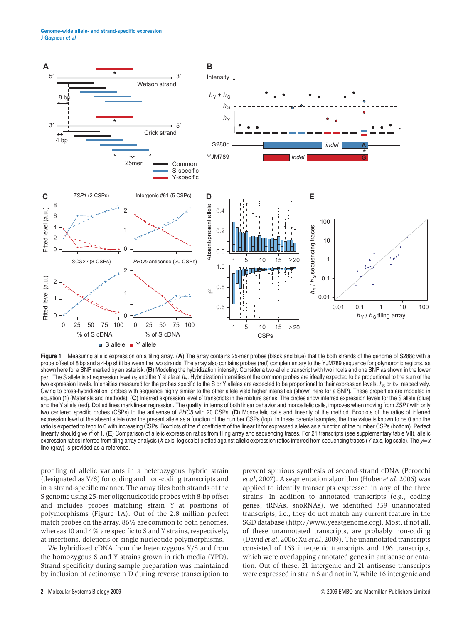Genome-wide allele- and strand-specific expression J Gagneur et al



Figure 1 Measuring allelic expression on a tiling array. (A) The array contains 25-mer probes (black and blue) that tile both strands of the genome of S288c with a probe offset of 8 bp and a 4-bp shift between the two strands. The array also contains probes (red) complementary to the YJM789 sequence for polymorphic regions, as shown here for a SNP marked by an asterisk. (B) Modeling the hybridization intensity. Consider a two-allelic transcript with two indels and one SNP as shown in the lower part. The S allele is at expression level  $h_S$  and the Y allele at  $h_Y$ . Hybridization intensities of the common probes are ideally expected to be proportional to the sum of the two expression levels. Intensities measured for the probes specific to the S or Y alleles are expected to be proportional to their expression levels,  $h_S$  or  $h_Y$ , respectively. Owing to cross-hybridization, probes with sequence highly similar to the other allele yield higher intensities (shown here for a SNP). These properties are modeled in equation (1) (Materials and methods). (C) Inferred expression level of transcripts in the mixture series. The circles show inferred expression levels for the S allele (blue) and the Y allele (red). Dotted lines mark linear regression. The quality, in terms of both linear behavior and monoallelic calls, improves when moving from ZSP1 with only two centered specific probes (CSPs) to the antisense of PHO5 with 20 CSPs. (D) Monoallelic calls and linearity of the method. Boxplots of the ratios of inferred expression level of the absent allele over the present allele as a function of the number CSPs (top). In these parental samples, the true value is known to be 0 and the ratio is expected to tend to 0 with increasing CSPs. Boxplots of the  $r^2$  coefficient of the linear fit for expressed alleles as a function of the number CSPs (bottom). Perfect linearity should give r of 1. (E) Comparison of allelic expression ratios from tiling array and sequencing traces. For 21 transcripts (see supplementary table VII), allelic expression ratios inferred from tiling array analysis (X-axis, log scale) plotted against allelic expression ratios inferred from sequencing traces (Y-axis, log scale). The  $y=x$ line (gray) is provided as a reference.

profiling of allelic variants in a heterozygous hybrid strain (designated as Y/S) for coding and non-coding transcripts and in a strand-specific manner. The array tiles both strands of the S genome using 25-mer oligonucleotide probes with 8-bp offset and includes probes matching strain Y at positions of polymorphisms (Figure 1A). Out of the 2.8 million perfect match probes on the array, 86% are common to both genomes, whereas 10 and 4% are specific to S and Y strains, respectively, at insertions, deletions or single-nucleotide polymorphisms.

We hybridized cDNA from the heterozygous Y/S and from the homozygous S and Y strains grown in rich media (YPD). Strand specificity during sample preparation was maintained by inclusion of actinomycin D during reverse transcription to prevent spurious synthesis of second-strand cDNA (Perocchi et al, 2007). A segmentation algorithm (Huber et al, 2006) was applied to identify transcripts expressed in any of the three strains. In addition to annotated transcripts (e.g., coding genes, tRNAs, snoRNAs), we identified 359 unannotated transcripts, i.e., they do not match any current feature in the SGD database (http://www.yeastgenome.org). Most, if not all, of these unannotated transcripts, are probably non-coding (David et al, 2006; Xu et al, 2009). The unannotated transcripts consisted of 163 intergenic transcripts and 196 transcripts, which were overlapping annotated genes in antisense orientation. Out of these, 21 intergenic and 21 antisense transcripts were expressed in strain S and not in Y, while 16 intergenic and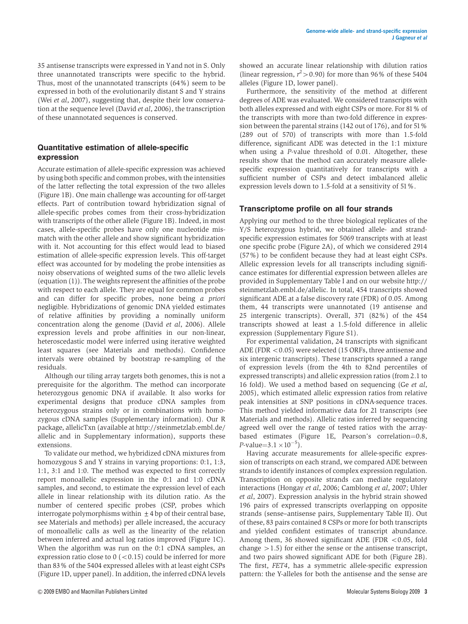35 antisense transcripts were expressed in Y and not in S. Only three unannotated transcripts were specific to the hybrid. Thus, most of the unannotated transcripts (64%) seem to be expressed in both of the evolutionarily distant S and Y strains (Wei et al, 2007), suggesting that, despite their low conservation at the sequence level (David et al, 2006), the transcription of these unannotated sequences is conserved.

## Quantitative estimation of allele-specific expression

Accurate estimation of allele-specific expression was achieved by using both specific and common probes, with the intensities of the latter reflecting the total expression of the two alleles (Figure 1B). One main challenge was accounting for off-target effects. Part of contribution toward hybridization signal of allele-specific probes comes from their cross-hybridization with transcripts of the other allele (Figure 1B). Indeed, in most cases, allele-specific probes have only one nucleotide mismatch with the other allele and show significant hybridization with it. Not accounting for this effect would lead to biased estimation of allele-specific expression levels. This off-target effect was accounted for by modeling the probe intensities as noisy observations of weighted sums of the two allelic levels (equation (1)). The weights represent the affinities of the probe with respect to each allele. They are equal for common probes and can differ for specific probes, none being a priori negligible. Hybridizations of genomic DNA yielded estimates of relative affinities by providing a nominally uniform concentration along the genome (David et al, 2006). Allele expression levels and probe affinities in our non-linear, heteroscedastic model were inferred using iterative weighted least squares (see Materials and methods). Confidence intervals were obtained by bootstrap re-sampling of the residuals.

Although our tiling array targets both genomes, this is not a prerequisite for the algorithm. The method can incorporate heterozygous genomic DNA if available. It also works for experimental designs that produce cDNA samples from heterozygous strains only or in combinations with homozygous cDNA samples (Supplementary information). Our R package, allelicTxn (available at http://steinmetzlab.embl.de/ allelic and in Supplementary information), supports these extensions.

To validate our method, we hybridized cDNA mixtures from homozygous S and Y strains in varying proportions: 0:1, 1:3, 1:1, 3:1 and 1:0. The method was expected to first correctly report monoallelic expression in the 0:1 and 1:0 cDNA samples, and second, to estimate the expression level of each allele in linear relationship with its dilution ratio. As the number of centered specific probes (CSP, probes which interrogate polymorphisms within  $\pm 4$  bp of their central base, see Materials and methods) per allele increased, the accuracy of monoallelic calls as well as the linearity of the relation between inferred and actual log ratios improved (Figure 1C). When the algorithm was run on the 0:1 cDNA samples, an expression ratio close to  $0$  (<0.15) could be inferred for more than 83% of the 5404 expressed alleles with at least eight CSPs (Figure 1D, upper panel). In addition, the inferred cDNA levels

showed an accurate linear relationship with dilution ratios (linear regression,  $r^2 > 0.90$ ) for more than 96% of these 5404 alleles (Figure 1D, lower panel).

Furthermore, the sensitivity of the method at different degrees of ADE was evaluated. We considered transcripts with both alleles expressed and with eight CSPs or more. For 81% of the transcripts with more than two-fold difference in expression between the parental strains (142 out of 176), and for 51% (289 out of 570) of transcripts with more than 1.5-fold difference, significant ADE was detected in the 1:1 mixture when using a P-value threshold of 0.01. Altogether, these results show that the method can accurately measure allelespecific expression quantitatively for transcripts with a sufficient number of CSPs and detect imbalanced allelic expression levels down to 1.5-fold at a sensitivity of 51%.

## Transcriptome profile on all four strands

Applying our method to the three biological replicates of the Y/S heterozygous hybrid, we obtained allele- and strandspecific expression estimates for 5069 transcripts with at least one specific probe (Figure 2A), of which we considered 2914 (57%) to be confident because they had at least eight CSPs. Allelic expression levels for all transcripts including significance estimates for differential expression between alleles are provided in Supplementary Table I and on our website http:// steinmetzlab.embl.de/allelic. In total, 454 transcripts showed significant ADE at a false discovery rate (FDR) of 0.05. Among them, 44 transcripts were unannotated (19 antisense and 25 intergenic transcripts). Overall, 371 (82%) of the 454 transcripts showed at least a 1.5-fold difference in allelic expression (Supplementary Figure S1).

For experimental validation, 24 transcripts with significant ADE (FDR  $<$  0.05) were selected (15 ORFs, three antisense and six intergenic transcripts). These transcripts spanned a range of expression levels (from the 4th to 82nd percentiles of expressed transcripts) and allelic expression ratios (from 2.1 to 16 fold). We used a method based on sequencing (Ge et al, 2005), which estimated allelic expression ratios from relative peak intensities at SNP positions in cDNA-sequence traces. This method yielded informative data for 21 transcripts (see Materials and methods). Allelic ratios inferred by sequencing agreed well over the range of tested ratios with the arraybased estimates (Figure 1E, Pearson's correlation= $0.8$ , *P*-value=3.1  $\times$  10<sup>-5</sup>).

Having accurate measurements for allele-specific expression of transcripts on each strand, we compared ADE between strands to identify instances of complex expression regulation. Transcription on opposite strands can mediate regulatory interactions (Hongay et al, 2006; Camblong et al, 2007; Uhler et al, 2007). Expression analysis in the hybrid strain showed 196 pairs of expressed transcripts overlapping on opposite strands (sense–antisense pairs, Supplementary Table II). Out of these, 83 pairs contained 8 CSPs or more for both transcripts and yielded confident estimates of transcript abundance. Among them, 36 showed significant ADE (FDR  $< 0.05$ , fold change  $>1.5$ ) for either the sense or the antisense transcript, and two pairs showed significant ADE for both (Figure 2B). The first, FET4, has a symmetric allele-specific expression pattern: the Y-alleles for both the antisense and the sense are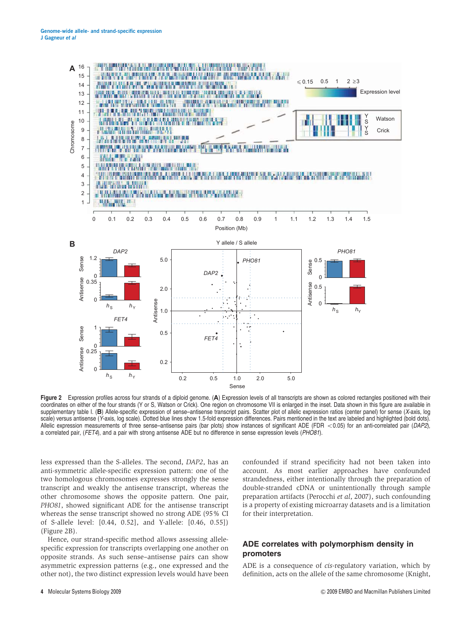

Figure 2 Expression profiles across four strands of a diploid genome. (A) Expression levels of all transcripts are shown as colored rectangles positioned with their coordinates on either of the four strands (Y or S, Watson or Crick). One region on chromosome VII is enlarged in the inset. Data shown in this figure are available in supplementary table I. (B) Allele-specific expression of sense–antisense transcript pairs. Scatter plot of allelic expression ratios (center panel) for sense (X-axis, log scale) versus antisense (Y-axis, log scale). Dotted blue lines show 1.5-fold expression differences. Pairs mentioned in the text are labeled and highlighted (bold dots). Allelic expression measurements of three sense-antisense pairs (bar plots) show instances of significant ADE (FDR  $<$  0.05) for an anti-correlated pair (DAP2), a correlated pair, (FET4), and a pair with strong antisense ADE but no difference in sense expression levels (PHO81).

less expressed than the S-alleles. The second, DAP2, has an anti-symmetric allele-specific expression pattern: one of the two homologous chromosomes expresses strongly the sense transcript and weakly the antisense transcript, whereas the other chromosome shows the opposite pattern. One pair, PHO81, showed significant ADE for the antisense transcript whereas the sense transcript showed no strong ADE (95% CI of S-allele level: [0.44, 0.52], and Y-allele: [0.46, 0.55]) (Figure 2B).

Hence, our strand-specific method allows assessing allelespecific expression for transcripts overlapping one another on opposite strands. As such sense–antisense pairs can show asymmetric expression patterns (e.g., one expressed and the other not), the two distinct expression levels would have been

confounded if strand specificity had not been taken into account. As most earlier approaches have confounded strandedness, either intentionally through the preparation of double-stranded cDNA or unintentionally through sample preparation artifacts (Perocchi et al, 2007), such confounding is a property of existing microarray datasets and is a limitation for their interpretation.

## ADE correlates with polymorphism density in promoters

ADE is a consequence of cis-regulatory variation, which by definition, acts on the allele of the same chromosome (Knight,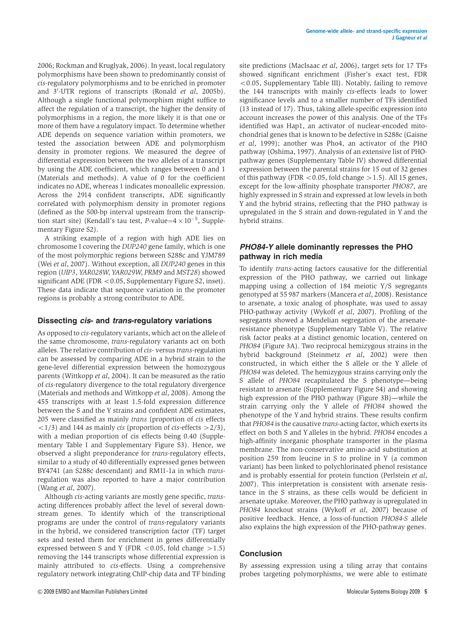2006; Rockman and Kruglyak, 2006). In yeast, local regulatory polymorphisms have been shown to predominantly consist of cis-regulatory polymorphisms and to be enriched in promoter and 3'-UTR regions of transcripts (Ronald et al, 2005b). Although a single functional polymorphism might suffice to affect the regulation of a transcript, the higher the density of polymorphisms in a region, the more likely it is that one or more of them have a regulatory impact. To determine whether ADE depends on sequence variation within promoters, we tested the association between ADE and polymorphism density in promoter regions. We measured the degree of differential expression between the two alleles of a transcript by using the ADE coefficient, which ranges between 0 and 1 (Materials and methods). A value of 0 for the coefficient indicates no ADE, whereas 1 indicates monoallelic expression. Across the 2914 confident transcripts, ADE significantly correlated with polymorphism density in promoter regions (defined as the 500-bp interval upstream from the transcription start site) (Kendall's tau test, P-value= $4 \times 10^{-5}$ , Supplementary Figure S2).

A striking example of a region with high ADE lies on chromosome I covering the DUP240 gene family, which is one of the most polymorphic regions between S288c and YJM789 (Wei et al, 2007). Without exception, all DUP240 genes in this region (UIP3, YAR028W, YAR029W, PRM9 and MST28) showed significant ADE (FDR  $<$  0.05, Supplementary Figure S2, inset). These data indicate that sequence variation in the promoter regions is probably a strong contributor to ADE.

## Dissecting cis- and trans-regulatory variations

As opposed to cis-regulatory variants, which act on the allele of the same chromosome, trans-regulatory variants act on both alleles. The relative contribution of cis- versus trans-regulation can be assessed by comparing ADE in a hybrid strain to the gene-level differential expression between the homozygous parents (Wittkopp et al, 2004). It can be measured as the ratio of cis-regulatory divergence to the total regulatory divergence (Materials and methods and Wittkopp et al, 2008). Among the 455 transcripts with at least 1.5-fold expression difference between the S and the Y strains and confident ADE estimates, 205 were classified as mainly trans (proportion of cis effects  $\langle 1/3 \rangle$  and 144 as mainly *cis* (proportion of *cis*-effects  $>2/3$ ), with a median proportion of cis effects being 0.40 (Supplementary Table I and Supplementary Figure S3). Hence, we observed a slight preponderance for trans-regulatory effects, similar to a study of 40 differentially expressed genes between BY4741 (an S288c descendant) and RM11-1a in which transregulation was also reported to have a major contribution (Wang et al, 2007).

Although cis-acting variants are mostly gene specific, transacting differences probably affect the level of several downstream genes. To identify which of the transcriptional programs are under the control of trans-regulatory variants in the hybrid, we considered transcription factor (TF) target sets and tested them for enrichment in genes differentially expressed between S and Y (FDR <  $0.05$ , fold change > 1.5) removing the 144 transcripts whose differential expression is mainly attributed to cis-effects. Using a comprehensive regulatory network integrating ChIP-chip data and TF binding

site predictions (MacIsaac et al, 2006), target sets for 17 TFs showed significant enrichment (Fisher's exact test, FDR  $<$  0.05, Supplementary Table III). Notably, failing to remove the 144 transcripts with mainly cis-effects leads to lower significance levels and to a smaller number of TFs identified (13 instead of 17). Thus, taking allele-specific expression into account increases the power of this analysis. One of the TFs identified was Hap1, an activator of nuclear-encoded mitochondrial genes that is known to be defective in S288c (Gaisne et al, 1999); another was Pho4, an activator of the PHO pathway (Oshima, 1997). Analysis of an extensive list of PHOpathway genes (Supplementary Table IV) showed differential expression between the parental strains for 15 out of 32 genes of this pathway (FDR  $< 0.05$ , fold change  $> 1.5$ ). All 15 genes, except for the low-affinity phosphate transporter PHO87, are highly expressed in S strain and expressed at low levels in both Y and the hybrid strains, reflecting that the PHO pathway is upregulated in the S strain and down-regulated in Y and the hybrid strains.

## PHO84-Y allele dominantly represses the PHO pathway in rich media

To identify trans-acting factors causative for the differential expression of the PHO pathway, we carried out linkage mapping using a collection of 184 meiotic Y/S segregants genotyped at 55 987 markers (Mancera et al, 2008). Resistance to arsenate, a toxic analog of phosphate, was used to assay PHO-pathway activity (Wykoff et al, 2007). Profiling of the segregants showed a Mendelian segregation of the arsenateresistance phenotype (Supplementary Table V). The relative risk factor peaks at a distinct genomic location, centered on PHO84 (Figure 3A). Two reciprocal hemizygous strains in the hybrid background (Steinmetz et al, 2002) were then constructed, in which either the S allele or the Y allele of PHO84 was deleted. The hemizygous strains carrying only the S allele of PHO84 recapitulated the S phenotype—being resistant to arsenate (Supplementary Figure S4) and showing high expression of the PHO pathway (Figure 3B)—while the strain carrying only the Y allele of PHO84 showed the phenotype of the Y and hybrid strains. These results confirm that PHO84 is the causative trans-acting factor, which exerts its effect on both S and Y alleles in the hybrid. PHO84 encodes a high-affinity inorganic phosphate transporter in the plasma membrane. The non-conservative amino-acid substitution at position 259 from leucine in S to proline in Y (a common variant) has been linked to polychlorinated phenol resistance and is probably essential for protein function (Perlstein et al, 2007). This interpretation is consistent with arsenate resistance in the S strains, as these cells would be deficient in arsenate uptake. Moreover, the PHO pathway is upregulated in PHO84 knockout strains (Wykoff et al, 2007) because of positive feedback. Hence, a loss-of-function PHO84-S allele also explains the high expression of the PHO-pathway genes.

## Conclusion

By assessing expression using a tiling array that contains probes targeting polymorphisms, we were able to estimate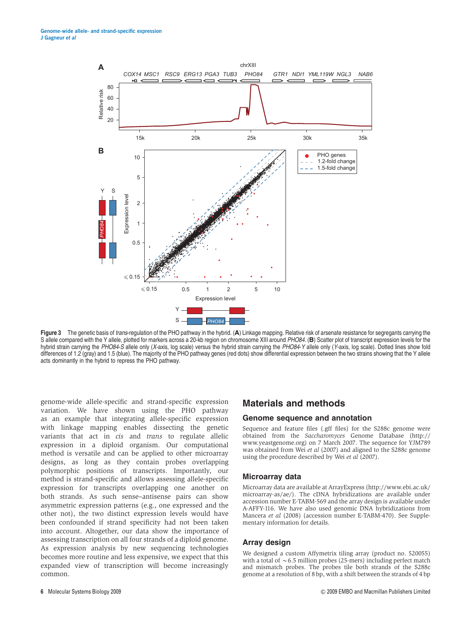

Figure 3 The genetic basis of trans-regulation of the PHO pathway in the hybrid. (A) Linkage mapping. Relative risk of arsenate resistance for segregants carrying the S allele compared with the Y allele, plotted for markers across a 20-kb region on chromosome XIII around PHO84. (B) Scatter plot of transcript expression levels for the hybrid strain carrying the PHO84-S allele only (X-axis, log scale) versus the hybrid strain carrying the PHO84-Y allele only (Y-axis, log scale). Dotted lines show fold differences of 1.2 (gray) and 1.5 (blue). The majority of the PHO pathway genes (red dots) show differential expression between the two strains showing that the Y allele acts dominantly in the hybrid to repress the PHO pathway.

genome-wide allele-specific and strand-specific expression variation. We have shown using the PHO pathway as an example that integrating allele-specific expression with linkage mapping enables dissecting the genetic variants that act in cis and trans to regulate allelic expression in a diploid organism. Our computational method is versatile and can be applied to other microarray designs, as long as they contain probes overlapping polymorphic positions of transcripts. Importantly, our method is strand-specific and allows assessing allele-specific expression for transcripts overlapping one another on both strands. As such sense–antisense pairs can show asymmetric expression patterns (e.g., one expressed and the other not), the two distinct expression levels would have been confounded if strand specificity had not been taken into account. Altogether, our data show the importance of assessing transcription on all four strands of a diploid genome. As expression analysis by new sequencing technologies becomes more routine and less expensive, we expect that this expanded view of transcription will become increasingly common.

# Materials and methods

#### Genome sequence and annotation

Sequence and feature files (.gff files) for the S288c genome were obtained from the Saccharomyces Genome Database (http:// www.yeastgenome.org) on 7 March 2007. The sequence for YJM789 was obtained from Wei et al (2007) and aligned to the S288c genome using the procedure described by Wei et al (2007).

#### Microarray data

Microarray data are available at ArrayExpress (http://www.ebi.ac.uk/ microarray-as/ae/). The cDNA hybridizations are available under accession number E-TABM-569 and the array design is available under A-AFFY-116. We have also used genomic DNA hybridizations from Mancera et al (2008) (accession number E-TABM-470). See Supplementary information for details.

#### Array design

We designed a custom Affymetrix tiling array (product no. 520055) with a total of  $\sim$  6.5 million probes (25-mers) including perfect match and mismatch probes. The probes tile both strands of the S288c genome at a resolution of 8 bp, with a shift between the strands of 4 bp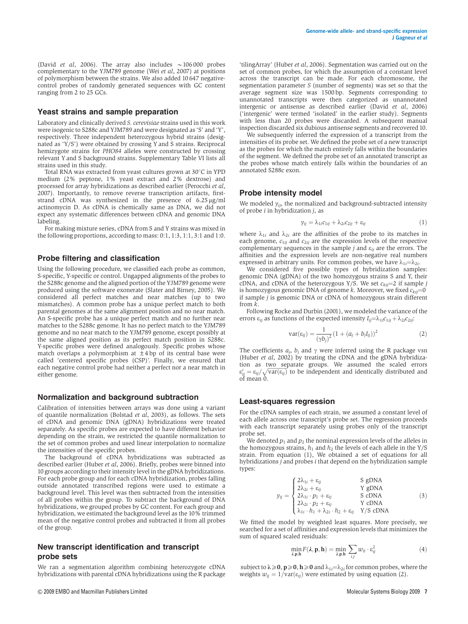(David *et al.* 2006). The array also includes  $\sim 106000$  probes complementary to the YJM789 genome (Wei et al, 2007) at positions of polymorphism between the strains. We also added 10 647 negativecontrol probes of randomly generated sequences with GC content ranging from 2 to 25 GCs.

#### Yeast strains and sample preparation

Laboratory and clinically derived S. cerevisiae strains used in this work were isogenic to S288c and YJM789 and were designated as 'S' and 'Y', respectively. Three independent heterozygous hybrid strains (designated as 'Y/S') were obtained by crossing Y and S strains. Reciprocal hemizygote strains for PHO84 alleles were constructed by crossing relevant Y and S background strains. Supplementary Table VI lists all strains used in this study.

Total RNA was extracted from yeast cultures grown at  $30^{\circ}$ C in YPD medium (2% peptone, 1% yeast extract and 2% dextrose) and processed for array hybridizations as described earlier (Perocchi et al, 2007). Importantly, to remove reverse transcription artifacts, firststrand cDNA was synthesized in the presence of  $6.25 \mu g/ml$ actinomycin D. As cDNA is chemically same as DNA, we did not expect any systematic differences between cDNA and genomic DNA labeling.

For making mixture series, cDNA from S and Y strains was mixed in the following proportions, according to mass: 0:1, 1:3, 1:1, 3:1 and 1:0.

#### Probe filtering and classification

Using the following procedure, we classified each probe as common, S-specific, Y-specific or control. Ungapped alignments of the probes to the S288c genome and the aligned portion of the YJM789 genome were produced using the software exonerate (Slater and Birney, 2005). We considered all perfect matches and near matches (up to two mismatches). A common probe has a unique perfect match to both parental genomes at the same alignment position and no near match. An S-specific probe has a unique perfect match and no further near matches to the S288c genome. It has no perfect match to the YJM789 genome and no near match to the YJM789 genome, except possibly at the same aligned position as its perfect match position in S288c. Y-specific probes were defined analogously. Specific probes whose match overlaps a polymorphism at  $\pm 4$  bp of its central base were called 'centered specific probes (CSP)'. Finally, we ensured that each negative control probe had neither a perfect nor a near match in either genome.

#### Normalization and background subtraction

Calibration of intensities between arrays was done using a variant of quantile normalization (Bolstad et al, 2003), as follows. The sets of cDNA and genomic DNA (gDNA) hybridizations were treated separately. As specific probes are expected to have different behavior depending on the strain, we restricted the quantile normalization to the set of common probes and used linear interpolation to normalize the intensities of the specific probes.

The background of cDNA hybridizations was subtracted as described earlier (Huber et al, 2006). Briefly, probes were binned into 10 groups according to their intensity level in the gDNA hybridizations. For each probe group and for each cDNA hybridization, probes falling outside annotated transcribed regions were used to estimate a background level. This level was then subtracted from the intensities of all probes within the group. To subtract the background of DNA hybridizations, we grouped probes by GC content. For each group and hybridization, we estimated the background level as the 10% trimmed mean of the negative control probes and subtracted it from all probes of the group.

#### New transcript identification and transcript probe sets

We ran a segmentation algorithm combining heterozygote cDNA hybridizations with parental cDNA hybridizations using the R package

'tilingArray' (Huber et al, 2006). Segmentation was carried out on the set of common probes, for which the assumption of a constant level across the transcript can be made. For each chromosome, the segmentation parameter S (number of segments) was set so that the average segment size was 1500 bp. Segments corresponding to unannotated transcripts were then categorized as unannotated intergenic or antisense as described earlier (David et al, 2006) ('intergenic' were termed 'isolated' in the earlier study). Segments with less than 20 probes were discarded. A subsequent manual inspection discarded six dubious antisense segments and recovered 10.

We subsequently inferred the expression of a transcript from the intensities of its probe set. We defined the probe set of a new transcript as the probes for which the match entirely falls within the boundaries of the segment. We defined the probe set of an annotated transcript as the probes whose match entirely falls within the boundaries of an annotated S288c exon.

#### Probe intensity model

We modeled  $y_{ij}$ , the normalized and background-subtracted intensity of probe  $i$  in hybridization  $j$ , as

$$
y_{ij} = \lambda_{1i}c_{1ij} + \lambda_{2i}c_{2ij} + \varepsilon_{ij}
$$
 (1)

where  $\lambda_{1i}$  and  $\lambda_{2i}$  are the affinities of the probe to its matches in each genome,  $c_{1ii}$  and  $c_{2ii}$  are the expression levels of the respective complementary sequences in the sample *j* and  $\varepsilon_{ij}$  are the errors. The affinities and the expression levels are non-negative real numbers expressed in arbitrary units. For common probes, we have  $\lambda_{1i} = \lambda_{2i}$ .

We considered five possible types of hybridization samples: genomic DNA (gDNA) of the two homozygous strains S and Y, their cDNA, and cDNA of the heterozygous Y/S. We set  $c_{ki}=2$  if sample j is homozygous genomic DNA of genome k. Moreover, we fixed  $c_{kji}=0$ if sample  $j$  is genomic DNA or cDNA of homozygous strain different from  $\hat{k}$ .

Following Rocke and Durbin (2001), we modeled the variance of the errors  $\varepsilon_{ii}$  as functions of the expected intensity  $I_{ii} = \lambda_{1i}c_{1ii} + \lambda_{2i}c_{2ii}$ :

$$
var(\varepsilon_{ij}) = \frac{1}{(\gamma b_j)^2} (1 + (a_j + b_j I_{ij}))^2
$$
 (2)

The coefficients  $a_j$ ,  $b_j$  and  $\gamma$  were inferred using the R package vsn (Huber et al, 2002) by treating the cDNA and the gDNA hybridization as two separate groups. We assumed the scaled errors  $\varepsilon'_{ij} = \varepsilon_{ij}/\sqrt{\text{var}(\varepsilon_{ij})}$  to be independent and identically distributed and of mean 0.

#### Least-squares regression

For the cDNA samples of each strain, we assumed a constant level of each allele across one transcript's probe set. The regression proceeds with each transcript separately using probes only of the transcript probe set.

We denoted  $p_1$  and  $p_2$  the nominal expression levels of the alleles in the homozygous strains,  $h_1$  and  $h_2$  the levels of each allele in the Y/S strain. From equation (1), We obtained a set of equations for all hybridizations  $\overline{j}$  and probes  $\overline{i}$  that depend on the hybridization sample types:

$$
y_{ij} = \begin{cases} 2\lambda_{1i} + \varepsilon_{ij} & S \text{ gDNA} \\ 2\lambda_{2i} + \varepsilon_{ij} & Y \text{ gDNA} \\ 2\lambda_{1i} \cdot p_1 + \varepsilon_{ij} & S \text{ cDNA} \\ 2\lambda_{2i} \cdot p_2 + \varepsilon_{ij} & Y \text{ cDNA} \\ \lambda_{1i} \cdot h_1 + \lambda_{2i} \cdot h_2 + \varepsilon_{ij} & Y/S \text{ cDNA} \end{cases}
$$
(3)

We fitted the model by weighted least squares. More precisely, we searched for a set of affinities and expression levels that minimizes the sum of squared scaled residuals:

$$
\min_{\lambda, \mathbf{p}, \mathbf{h}} F(\lambda, \mathbf{p}, \mathbf{h}) = \min_{\lambda, \mathbf{p}, \mathbf{h}} \sum_{i,j} w_{ij} \cdot \varepsilon_{ij}^2 \tag{4}
$$

subject to  $\lambda \geqslant 0$ ,  $p \geqslant 0$ ,  $h \geqslant 0$  and  $\lambda_{1i} = \lambda_{2i}$  for common probes, where the weights  $w_{ij} = 1/\overline{var(\epsilon_{ij})}$  were estimated by using equation (2).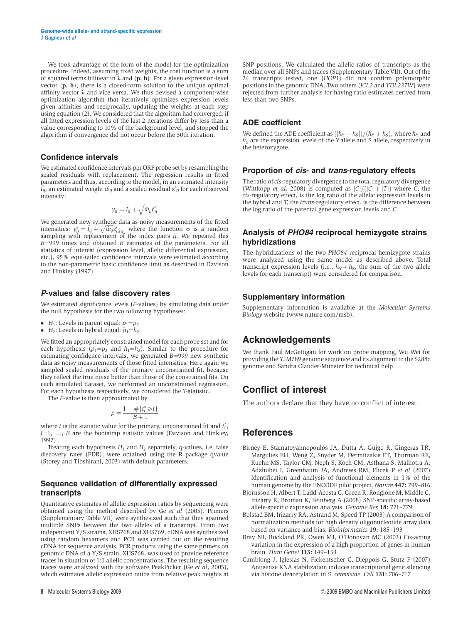We took advantage of the form of the model for the optimization procedure. Indeed, assuming fixed weights, the cost function is a sum of squared terms bilinear in  $\lambda$  and  $(p, h)$ . For a given expression-level vector  $(p, h)$ , there is a closed-form solution to the unique optimal affinity vector  $\lambda$  and vice versa. We thus devised a component-wise optimization algorithm that iteratively optimizes expression levels given affinities and reciprocally, updating the weights at each step using equation (2). We considered that the algorithm had converged, if all fitted expression levels of the last 2 iterations differ by less than a value corresponding to 10% of the background level, and stopped the algorithm if convergence did not occur before the 30th iteration.

#### Confidence intervals

We estimated confidence intervals per ORF probe set by resampling the scaled residuals with replacement. The regression results in fitted parameters and thus, according to the model, in an estimated intensity  $\hat{I}_{ij}$ , an estimated weight  $\hat{w_{ij}}$  and a scaled residual  $\varepsilon'{}_{ij}$  for each observed intensity:

$$
y_{ij} = \hat{I}_{ij} + \sqrt{\hat{w}_{ij}} \hat{\epsilon}'_{ij}
$$

We generated new synthetic data as noisy measurements of the fitted intensities:  $y_{ij}^* = \hat{I}_{ij} + \sqrt{\hat{w}_{ij}}\hat{e}_{\alpha(j)}^t$  where the function  $\sigma$  is a random sampling with replacement of the index pairs *ij*. We repeated this  $B=999$  times and obtained B estimates of the parameters. For all statistics of interest (expression level, allelic differential expression, etc.), 95% equi-tailed confidence intervals were estimated according to the non-parametric basic confidence limit as described in Davison and Hinkley (1997).

### P-values and false discovery rates

We estimated significance levels (*P*-values) by simulating data under the null hypothesis for the two following hypotheses:

- $\bullet$  H<sub>1</sub>: Levels in parent equal:  $p_1=p_2$
- $H_2$ : Levels in hybrid equal:  $h_1=h_2$

We fitted an appropriately constrained model for each probe set and for each hypothesis  $(p_1=p_2$  and  $h_1=h_2$ ). Similar to the procedure for estimating confidence intervals, we generated  $B=999$  new synthetic data as noisy measurements of those fitted intensities. Here again we sampled scaled residuals of the primary unconstrained fit, because they reflect the true noise better than those of the constrained fits. On each simulated dataset, we performed an unconstrained regression. For each hypothesis respectively, we considered the T-statistic.

The P-value is then approximated by

$$
p = \frac{1 + \#\{t_i^* \ge t\}}{B + 1}
$$

where *t* is the statistic value for the primary, unconstrained fit and  $t_i^*$ ,  $I=1, ..., B$  are the bootstrap statistic values (Davison and Hinkley, 1997).

Treating each hypothesis  $H_1$  and  $H_2$  separately, q-values, i.e. false discovery rates (FDR), were obtained using the R package qvalue (Storey and Tibshirani, 2003) with default parameters.

## Sequence validation of differentially expressed transcripts

Quantitative estimates of allelic expression ratios by sequencing were obtained using the method described by Ge et al (2005). Primers (Supplementary Table VII) were synthesized such that they spanned multiple SNPs between the two alleles of a transcript. From two independent Y/S strains, XHS768 and XHS769, cDNA was synthesized using random hexamers and PCR was carried out on the resulting cDNA for sequence analysis. PCR products using the same primers on genomic DNA of a Y/S strain, XHS768, was used to provide reference traces in situation of 1:1 allelic concentrations. The resulting sequence traces were analyzed with the software PeakPicker (Ge et al, 2005), which estimates allelic expression ratios from relative peak heights at

SNP positions. We calculated the allelic ratios of transcripts as the median over all SNPs and traces (Supplementary Table VII). Out of the 24 transcripts tested, one (HOP1) did not confirm polymorphic positions in the genomic DNA. Two others (ICL2 and YDL237W) were rejected from further analysis for having ratio estimates derived from less than two SNPs.

## ADE coefficient

We defined the ADE coefficient as  $(h_Y - h_S)/ (h_Y + h_S)$ , where  $h_Y$  and  $h<sub>S</sub>$  are the expression levels of the Y allele and S allele, respectively in the heterozygote.

#### Proportion of cis- and trans-regulatory effects

The ratio of cis-regulatory divergence to the total regulatory divergence (Wittkopp et al, 2008) is computed as  $|C|/(|C| + |T|)$  where C, the cis-regulatory effect, is the log ratio of the allelic expression levels in the hybrid and T, the trans-regulatory effect, is the difference between the log ratio of the parental gene expression levels and C.

## Analysis of PHO84 reciprocal hemizygote strains hybridizations

The hybridizations of the two PHO84 reciprocal hemizygote strains were analyzed using the same model as described above. Total transcript expression levels (i.e.,  $h_Y + h_S$ , the sum of the two allele levels for each transcript) were considered for comparison.

## Supplementary information

Supplementary information is available at the Molecular Systems Biology website (www.nature.com/msb).

# Acknowledgements

We thank Paul McGettigan for work on probe mapping, Wu Wei for providing the YJM789 genome sequence and its alignment to the S288c genome and Sandra Clauder-Münster for technical help.

# Conflict of interest

The authors declare that they have no conflict of interest.

# **References**

- Birney E, Stamatoyannopoulos JA, Dutta A, Guigo R, Gingeras TR, Margulies EH, Weng Z, Snyder M, Dermitzakis ET, Thurman RE, Kuehn MS, Taylor CM, Neph S, Koch CM, Asthana S, Malhotra A, Adzhubei I, Greenbaum JA, Andrews RM, Flicek P et al (2007) Identification and analysis of functional elements in 1% of the human genome by the ENCODE pilot project. Nature 447: 799–816
- Bjornsson H, Albert T, Ladd-Acosta C, Green R, Rongione M, Middle C, Irizarry R, Broman K, Feinberg A (2008) SNP-specific array-based allele-specific expression analysis. Genome Res 18: 771–779
- Bolstad BM, Irizarry RA, Astrand M, Speed TP (2003) A comparison of normalization methods for high density oligonucleotide array data based on variance and bias. Bioinformatics 19: 185–193
- Bray NJ, Buckland PR, Owen MJ, O'Donovan MC (2003) Cis-acting variation in the expression of a high proportion of genes in human brain. Hum Genet 113: 149–153
- Camblong J, Iglesias N, Fickentscher C, Dieppois G, Stutz F (2007) Antisense RNA stabilization induces transcriptional gene silencing via histone deacetylation in S. cerevisiae. Cell 131: 706-717